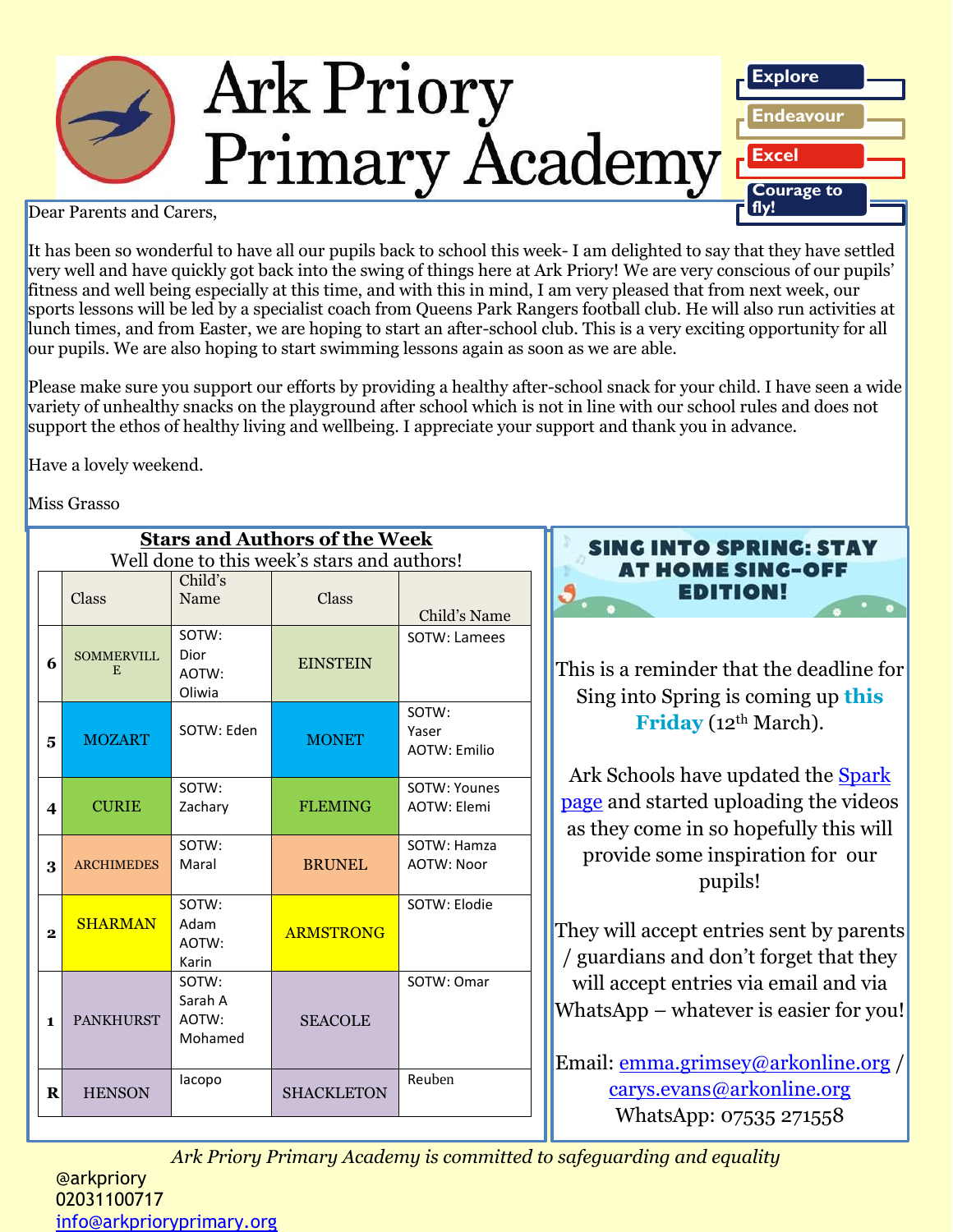

Dear Parents and Carers,

It has been so wonderful to have all our pupils back to school this week- I am delighted to say that they have settled very well and have quickly got back into the swing of things here at Ark Priory! We are very conscious of our pupils' fitness and well being especially at this time, and with this in mind, I am very pleased that from next week, our sports lessons will be led by a specialist coach from Queens Park Rangers football club. He will also run activities at lunch times, and from Easter, we are hoping to start an after-school club. This is a very exciting opportunity for all our pupils. We are also hoping to start swimming lessons again as soon as we are able.

Please make sure you support our efforts by providing a healthy after-school snack for your child. I have seen a wide variety of unhealthy snacks on the playground after school which is not in line with our school rules and does not support the ethos of healthy living and wellbeing. I appreciate your support and thank you in advance.

Have a lovely weekend.

Miss Grasso

| <b>Stars and Authors of the Week</b><br>Well done to this week's stars and authors! |                         |                                      |                   |                                       |
|-------------------------------------------------------------------------------------|-------------------------|--------------------------------------|-------------------|---------------------------------------|
|                                                                                     | Class                   | Child's<br>Name                      | Class             | Child's Name                          |
| 6                                                                                   | <b>SOMMERVILL</b><br>E. | SOTW:<br>Dior<br>AOTW:<br>Oliwia     | <b>EINSTEIN</b>   | SOTW: Lamees                          |
| 5                                                                                   | <b>MOZART</b>           | SOTW: Eden                           | <b>MONET</b>      | SOTW:<br>Yaser<br><b>AOTW: Emilio</b> |
| $\boldsymbol{4}$                                                                    | <b>CURIE</b>            | SOTW:<br>Zachary                     | <b>FLEMING</b>    | SOTW: Younes<br><b>AOTW: Elemi</b>    |
| 3                                                                                   | <b>ARCHIMEDES</b>       | SOTW:<br>Maral                       | <b>BRUNEL</b>     | SOTW: Hamza<br><b>AOTW: Noor</b>      |
| $\overline{\mathbf{2}}$                                                             | <b>SHARMAN</b>          | SOTW:<br>Adam<br>AOTW:<br>Karin      | <b>ARMSTRONG</b>  | SOTW: Elodie                          |
| 1                                                                                   | <b>PANKHURST</b>        | SOTW:<br>Sarah A<br>AOTW:<br>Mohamed | <b>SEACOLE</b>    | SOTW: Omar                            |
| R                                                                                   | <b>HENSON</b>           | lacopo                               | <b>SHACKLETON</b> | Reuben                                |



This is a reminder that the deadline for Sing into Spring is coming up **this**  Friday (12<sup>th</sup> March).

Ark Schools have updated the **Spark** [page](https://arkschools.sharepoint.com/sites/spark/SitePages/Sing-into-Spring.aspx) and started uploading the videos as they come in so hopefully this will provide some inspiration for our pupils!

They will accept entries sent by parents / guardians and don't forget that they will accept entries via email and via WhatsApp – whatever is easier for you!

Email: [emma.grimsey@arkonline.org](mailto:emma.grimsey@arkonline.org) / [carys.evans@arkonline.org](mailto:carys.evans@arkonline.org) WhatsApp: 07535 271558

*Ark Priory Primary Academy is committed to safeguarding and equality* 

@arkpriory 02031100717 [info@arkprioryprimary.org](mailto:info@arkprioryprimary.org)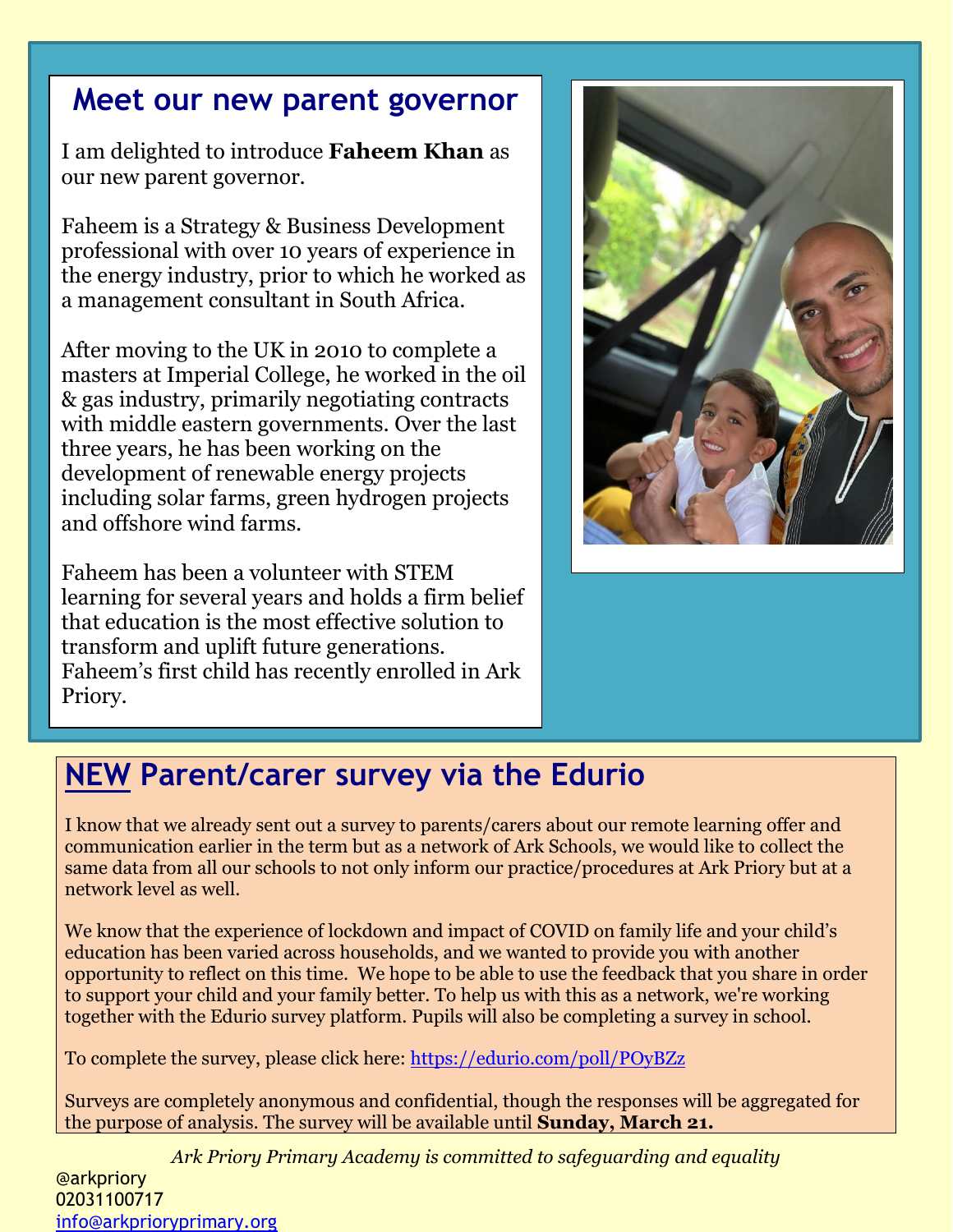# **Meet our new parent governor**

I am delighted to introduce **Faheem Khan** as our new parent governor.

Faheem is a Strategy & Business Development professional with over 10 years of experience in the energy industry, prior to which he worked as a management consultant in South Africa.

After moving to the UK in 2010 to complete a masters at Imperial College, he worked in the oil & gas industry, primarily negotiating contracts with middle eastern governments. Over the last three years, he has been working on the development of renewable energy projects including solar farms, green hydrogen projects and offshore wind farms.

Faheem has been a volunteer with STEM learning for several years and holds a firm belief that education is the most effective solution to transform and uplift future generations. Faheem's first child has recently enrolled in Ark Priory.



# **NEW Parent/carer survey via the Edurio**

I know that we already sent out a survey to parents/carers about our remote learning offer and communication earlier in the term but as a network of Ark Schools, we would like to collect the same data from all our schools to not only inform our practice/procedures at Ark Priory but at a network level as well.

We know that the experience of lockdown and impact of COVID on family life and your child's education has been varied across households, and we wanted to provide you with another opportunity to reflect on this time. We hope to be able to use the feedback that you share in order to support your child and your family better. To help us with this as a network, we're working together with the Edurio survey platform. Pupils will also be completing a survey in school.

To complete the survey, please click here:<https://edurio.com/poll/POyBZz>

Surveys are completely anonymous and confidential, though the responses will be aggregated for the purpose of analysis. The survey will be available until **Sunday, March 21.**

*Ark Priory Primary Academy is committed to safeguarding and equality*  @arkpriory 02031100717 [info@arkprioryprimary.org](mailto:info@arkprioryprimary.org)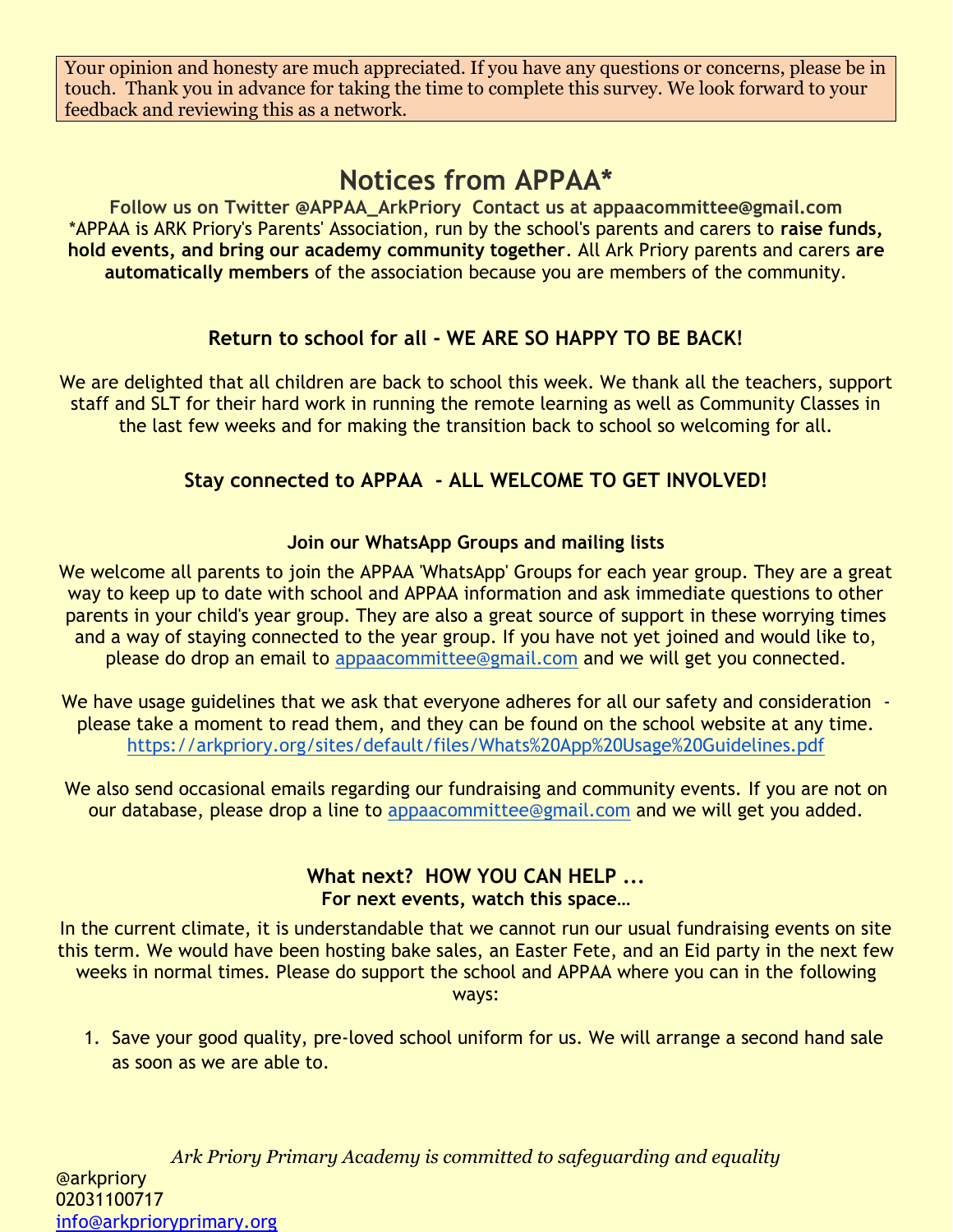Your opinion and honesty are much appreciated. If you have any questions or concerns, please be in touch. Thank you in advance for taking the time to complete this survey. We look forward to your feedback and reviewing this as a network.

# **Notices from APPAA\***

**Follow us on Twitter @APPAA\_ArkPriory Contact us at appaacommittee@gmail.com** \*APPAA is ARK Priory's Parents' Association, run by the school's parents and carers to **raise funds, hold events, and bring our academy community together**. All Ark Priory parents and carers **are automatically members** of the association because you are members of the community.

## **Return to school for all - WE ARE SO HAPPY TO BE BACK!**

We are delighted that all children are back to school this week. We thank all the teachers, support staff and SLT for their hard work in running the remote learning as well as Community Classes in the last few weeks and for making the transition back to school so welcoming for all.

## **Stay connected to APPAA - ALL WELCOME TO GET INVOLVED!**

#### **Join our WhatsApp Groups and mailing lists**

We welcome all parents to join the APPAA 'WhatsApp' Groups for each year group. They are a great way to keep up to date with school and APPAA information and ask immediate questions to other parents in your child's year group. They are also a great source of support in these worrying times and a way of staying connected to the year group. If you have not yet joined and would like to, please do drop an email to [appaacommittee@gmail.com](mailto:appaacommittee@gmail.com) and we will get you connected.

We have usage guidelines that we ask that everyone adheres for all our safety and consideration please take a moment to read them, and they can be found on the school website at any time. <https://arkpriory.org/sites/default/files/Whats%20App%20Usage%20Guidelines.pdf>

We also send occasional emails regarding our fundraising and community events. If you are not on our database, please drop a line to [appaacommittee@gmail.com](mailto:appaacommittee@gmail.com) and we will get you added.

#### **What next? HOW YOU CAN HELP ... For next events, watch this space…**

In the current climate, it is understandable that we cannot run our usual fundraising events on site this term. We would have been hosting bake sales, an Easter Fete, and an Eid party in the next few weeks in normal times. Please do support the school and APPAA where you can in the following ways:

1. Save your good quality, pre-loved school uniform for us. We will arrange a second hand sale as soon as we are able to.

*Ark Priory Primary Academy is committed to safeguarding and equality*  @arkpriory 02031100717 [info@arkprioryprimary.org](mailto:info@arkprioryprimary.org)